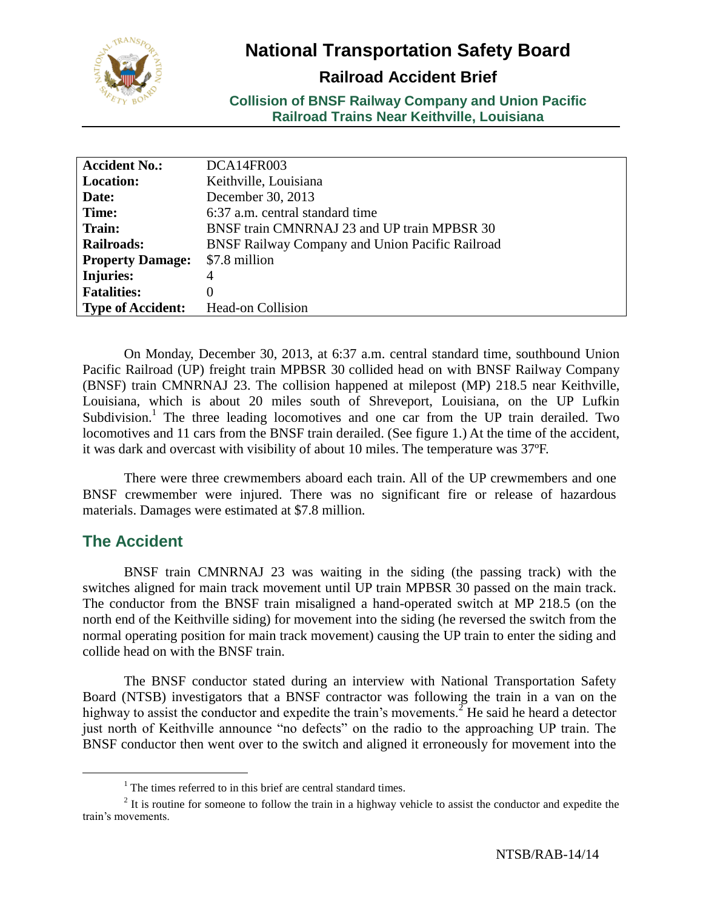

# **National Transportation Safety Board**

## **Railroad Accident Brief**

**Collision of BNSF Railway Company and Union Pacific Railroad Trains Near Keithville, Louisiana**

| <b>Accident No.:</b>     | DCA14FR003                                      |
|--------------------------|-------------------------------------------------|
| <b>Location:</b>         | Keithville, Louisiana                           |
| Date:                    | December 30, 2013                               |
| Time:                    | 6:37 a.m. central standard time                 |
| Train:                   | BNSF train CMNRNAJ 23 and UP train MPBSR 30     |
| <b>Railroads:</b>        | BNSF Railway Company and Union Pacific Railroad |
| <b>Property Damage:</b>  | \$7.8 million                                   |
| <b>Injuries:</b>         | 4                                               |
| <b>Fatalities:</b>       | $\Omega$                                        |
| <b>Type of Accident:</b> | <b>Head-on Collision</b>                        |

On Monday, December 30, 2013, at 6:37 a.m. central standard time, southbound Union Pacific Railroad (UP) freight train MPBSR 30 collided head on with BNSF Railway Company (BNSF) train CMNRNAJ 23. The collision happened at milepost (MP) 218.5 near Keithville, Louisiana, which is about 20 miles south of Shreveport, Louisiana, on the UP Lufkin Subdivision.<sup>1</sup> The three leading locomotives and one car from the UP train derailed. Two locomotives and 11 cars from the BNSF train derailed. (See figure 1.) At the time of the accident, it was dark and overcast with visibility of about 10 miles. The temperature was 37ºF.

There were three crewmembers aboard each train. All of the UP crewmembers and one BNSF crewmember were injured. There was no significant fire or release of hazardous materials. Damages were estimated at \$7.8 million.

### **The Accident**

 $\overline{a}$ 

BNSF train CMNRNAJ 23 was waiting in the siding (the passing track) with the switches aligned for main track movement until UP train MPBSR 30 passed on the main track. The conductor from the BNSF train misaligned a hand-operated switch at MP 218.5 (on the north end of the Keithville siding) for movement into the siding (he reversed the switch from the normal operating position for main track movement) causing the UP train to enter the siding and collide head on with the BNSF train.

The BNSF conductor stated during an interview with National Transportation Safety Board (NTSB) investigators that a BNSF contractor was following the train in a van on the highway to assist the conductor and expedite the train's movements.<sup>2</sup> He said he heard a detector just north of Keithville announce "no defects" on the radio to the approaching UP train. The BNSF conductor then went over to the switch and aligned it erroneously for movement into the

<sup>&</sup>lt;sup>1</sup> The times referred to in this brief are central standard times.

 $2$  It is routine for someone to follow the train in a highway vehicle to assist the conductor and expedite the train's movements.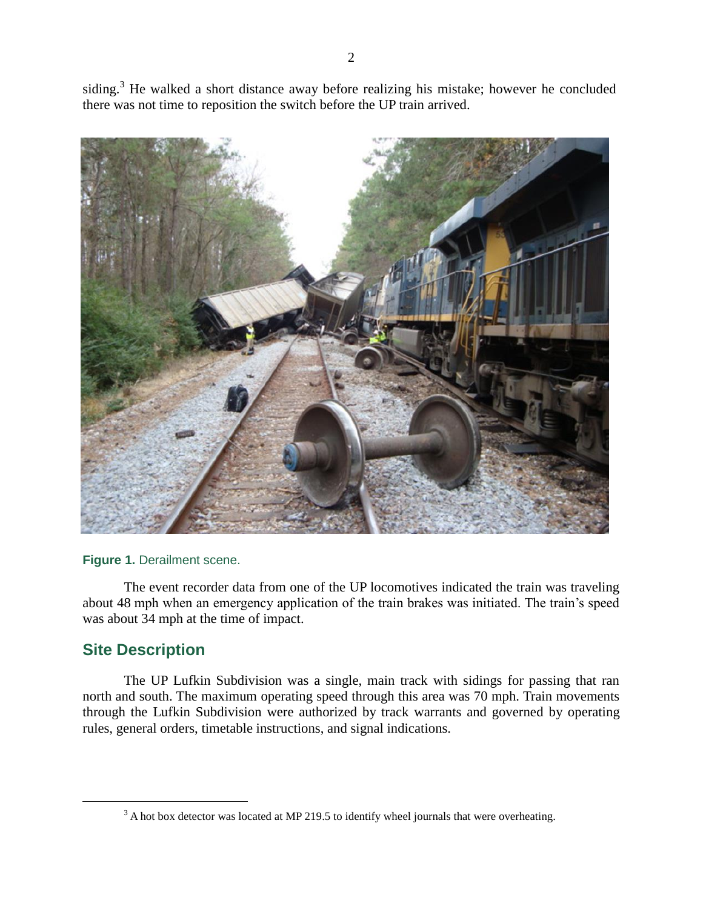siding.<sup>3</sup> He walked a short distance away before realizing his mistake; however he concluded there was not time to reposition the switch before the UP train arrived.



#### **Figure 1.** Derailment scene.

The event recorder data from one of the UP locomotives indicated the train was traveling about 48 mph when an emergency application of the train brakes was initiated. The train's speed was about 34 mph at the time of impact.

### **Site Description**

 $\overline{a}$ 

The UP Lufkin Subdivision was a single, main track with sidings for passing that ran north and south. The maximum operating speed through this area was 70 mph. Train movements through the Lufkin Subdivision were authorized by track warrants and governed by operating rules, general orders, timetable instructions, and signal indications.

<sup>&</sup>lt;sup>3</sup> A hot box detector was located at MP 219.5 to identify wheel journals that were overheating.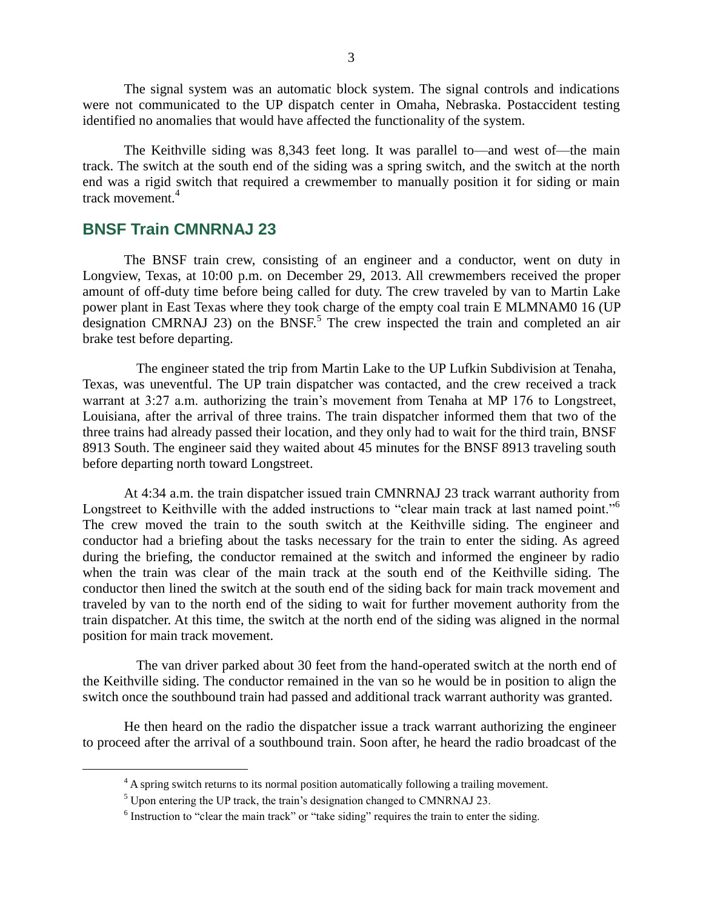The signal system was an automatic block system. The signal controls and indications were not communicated to the UP dispatch center in Omaha, Nebraska. Postaccident testing identified no anomalies that would have affected the functionality of the system.

The Keithville siding was 8,343 feet long. It was parallel to—and west of—the main track. The switch at the south end of the siding was a spring switch, and the switch at the north end was a rigid switch that required a crewmember to manually position it for siding or main track movement.<sup>4</sup>

### **BNSF Train CMNRNAJ 23**

 $\overline{a}$ 

The BNSF train crew, consisting of an engineer and a conductor, went on duty in Longview, Texas, at 10:00 p.m. on December 29, 2013. All crewmembers received the proper amount of off-duty time before being called for duty. The crew traveled by van to Martin Lake power plant in East Texas where they took charge of the empty coal train E MLMNAM0 16 (UP designation CMRNAJ 23) on the  $BNSF<sup>5</sup>$  The crew inspected the train and completed an air brake test before departing.

The engineer stated the trip from Martin Lake to the UP Lufkin Subdivision at Tenaha, Texas, was uneventful. The UP train dispatcher was contacted, and the crew received a track warrant at 3:27 a.m. authorizing the train's movement from Tenaha at MP 176 to Longstreet, Louisiana, after the arrival of three trains. The train dispatcher informed them that two of the three trains had already passed their location, and they only had to wait for the third train, BNSF 8913 South. The engineer said they waited about 45 minutes for the BNSF 8913 traveling south before departing north toward Longstreet.

At 4:34 a.m. the train dispatcher issued train CMNRNAJ 23 track warrant authority from Longstreet to Keithville with the added instructions to "clear main track at last named point."<sup>6</sup> The crew moved the train to the south switch at the Keithville siding. The engineer and conductor had a briefing about the tasks necessary for the train to enter the siding. As agreed during the briefing, the conductor remained at the switch and informed the engineer by radio when the train was clear of the main track at the south end of the Keithville siding. The conductor then lined the switch at the south end of the siding back for main track movement and traveled by van to the north end of the siding to wait for further movement authority from the train dispatcher. At this time, the switch at the north end of the siding was aligned in the normal position for main track movement.

The van driver parked about 30 feet from the hand-operated switch at the north end of the Keithville siding. The conductor remained in the van so he would be in position to align the switch once the southbound train had passed and additional track warrant authority was granted.

He then heard on the radio the dispatcher issue a track warrant authorizing the engineer to proceed after the arrival of a southbound train. Soon after, he heard the radio broadcast of the

<sup>&</sup>lt;sup>4</sup> A spring switch returns to its normal position automatically following a trailing movement.

<sup>5</sup> Upon entering the UP track, the train's designation changed to CMNRNAJ 23.

<sup>&</sup>lt;sup>6</sup> Instruction to "clear the main track" or "take siding" requires the train to enter the siding.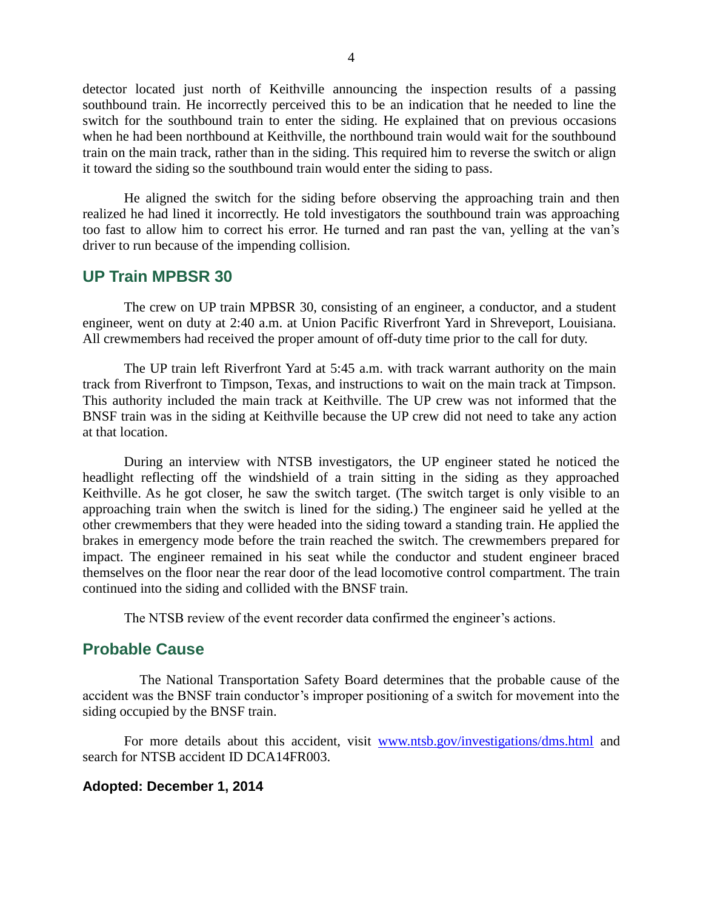detector located just north of Keithville announcing the inspection results of a passing southbound train. He incorrectly perceived this to be an indication that he needed to line the switch for the southbound train to enter the siding. He explained that on previous occasions when he had been northbound at Keithville, the northbound train would wait for the southbound train on the main track, rather than in the siding. This required him to reverse the switch or align it toward the siding so the southbound train would enter the siding to pass.

He aligned the switch for the siding before observing the approaching train and then realized he had lined it incorrectly. He told investigators the southbound train was approaching too fast to allow him to correct his error. He turned and ran past the van, yelling at the van's driver to run because of the impending collision.

#### **UP Train MPBSR 30**

The crew on UP train MPBSR 30, consisting of an engineer, a conductor, and a student engineer, went on duty at 2:40 a.m. at Union Pacific Riverfront Yard in Shreveport, Louisiana. All crewmembers had received the proper amount of off-duty time prior to the call for duty.

The UP train left Riverfront Yard at 5:45 a.m. with track warrant authority on the main track from Riverfront to Timpson, Texas, and instructions to wait on the main track at Timpson. This authority included the main track at Keithville. The UP crew was not informed that the BNSF train was in the siding at Keithville because the UP crew did not need to take any action at that location.

During an interview with NTSB investigators, the UP engineer stated he noticed the headlight reflecting off the windshield of a train sitting in the siding as they approached Keithville. As he got closer, he saw the switch target. (The switch target is only visible to an approaching train when the switch is lined for the siding.) The engineer said he yelled at the other crewmembers that they were headed into the siding toward a standing train. He applied the brakes in emergency mode before the train reached the switch. The crewmembers prepared for impact. The engineer remained in his seat while the conductor and student engineer braced themselves on the floor near the rear door of the lead locomotive control compartment. The train continued into the siding and collided with the BNSF train.

The NTSB review of the event recorder data confirmed the engineer's actions.

### **Probable Cause**

The National Transportation Safety Board determines that the probable cause of the accident was the BNSF train conductor's improper positioning of a switch for movement into the siding occupied by the BNSF train.

For more details about this accident, visit [www.ntsb.gov/investigations/dms.html](http://www.ntsb.gov/investigations/dms.html) and search for NTSB accident ID DCA14FR003.

#### **Adopted: December 1, 2014**